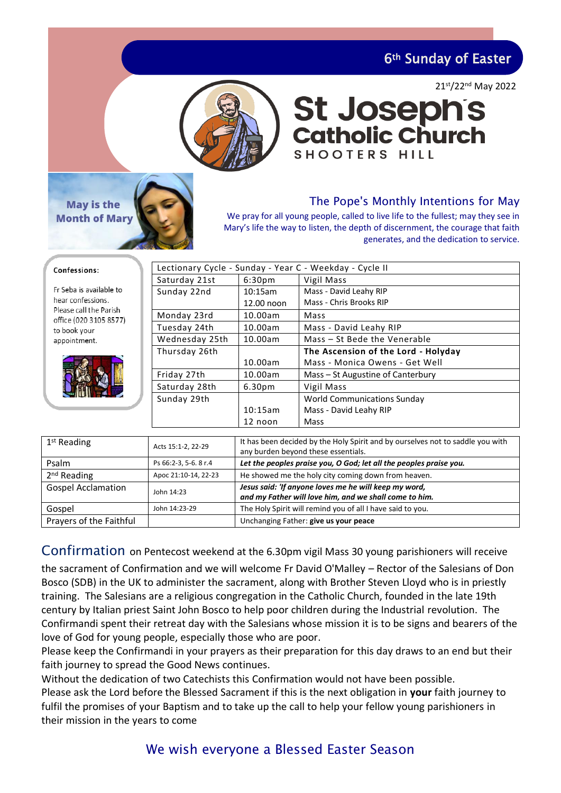6th Sunday of Easter



### 21st/22nd May 2022

## The Pope's Monthly Intentions for May

**St Joseph's<br>Catholic Church** 

We pray for all young people, called to live life to the fullest; may they see in Mary's life the way to listen, the depth of discernment, the courage that faith generates, and the dedication to service.

**SHOOTERS HILL** 

#### Confessions:

Fr Seba is available to hear confessions Please call the Parish office (020 3105 8577) to book your appointment.

**May is the Month of Mary** 



| Lectionary Cycle - Sunday - Year C - Weekday - Cycle II |                    |                                     |  |
|---------------------------------------------------------|--------------------|-------------------------------------|--|
| Saturday 21st                                           | 6:30 <sub>pm</sub> | Vigil Mass                          |  |
| Sunday 22nd                                             | 10:15am            | Mass - David Leahy RIP              |  |
|                                                         | 12.00 noon         | Mass - Chris Brooks RIP             |  |
| Monday 23rd                                             | 10.00am            | Mass                                |  |
| Tuesday 24th                                            | 10.00am            | Mass - David Leahy RIP              |  |
| Wednesday 25th                                          | 10.00am            | Mass - St Bede the Venerable        |  |
| Thursday 26th                                           |                    | The Ascension of the Lord - Holyday |  |
|                                                         | 10.00am            | Mass - Monica Owens - Get Well      |  |
| Friday 27th                                             | 10.00am            | Mass – St Augustine of Canterbury   |  |
| Saturday 28th                                           | 6.30 <sub>pm</sub> | Vigil Mass                          |  |
| Sunday 29th                                             |                    | <b>World Communications Sunday</b>  |  |
|                                                         | 10:15am            | Mass - David Leahy RIP              |  |
|                                                         | 12 noon            | Mass                                |  |

| $1st$ Reading             | Acts 15:1-2, 22-29    | It has been decided by the Holy Spirit and by ourselves not to saddle you with<br>any burden beyond these essentials. |
|---------------------------|-----------------------|-----------------------------------------------------------------------------------------------------------------------|
| Psalm                     | Ps 66:2-3, 5-6. 8 r.4 | Let the peoples praise you, O God; let all the peoples praise you.                                                    |
| 2 <sup>nd</sup> Reading   | Apoc 21:10-14, 22-23  | He showed me the holy city coming down from heaven.                                                                   |
| <b>Gospel Acclamation</b> | John 14:23            | Jesus said: 'If anyone loves me he will keep my word,<br>and my Father will love him, and we shall come to him.       |
| Gospel                    | John 14:23-29         | The Holy Spirit will remind you of all I have said to you.                                                            |
| Prayers of the Faithful   |                       | Unchanging Father: give us your peace                                                                                 |

## Confirmation on Pentecost weekend at the 6.30pm vigil Mass 30 young parishioners will receive

the sacrament of Confirmation and we will welcome Fr David O'Malley – Rector of the Salesians of Don Bosco (SDB) in the UK to administer the sacrament, along with Brother Steven Lloyd who is in priestly training. The Salesians are a religious congregation in the Catholic Church, founded in the late 19th century by Italian priest Saint John Bosco to help poor children during the Industrial revolution. The Confirmandi spent their retreat day with the Salesians whose mission it is to be signs and bearers of the love of God for young people, especially those who are poor.

Please keep the Confirmandi in your prayers as their preparation for this day draws to an end but their faith journey to spread the Good News continues.

Without the dedication of two Catechists this Confirmation would not have been possible. Please ask the Lord before the Blessed Sacrament if this is the next obligation in **your** faith journey to fulfil the promises of your Baptism and to take up the call to help your fellow young parishioners in their mission in the years to come

# We wish everyone a Blessed Easter Season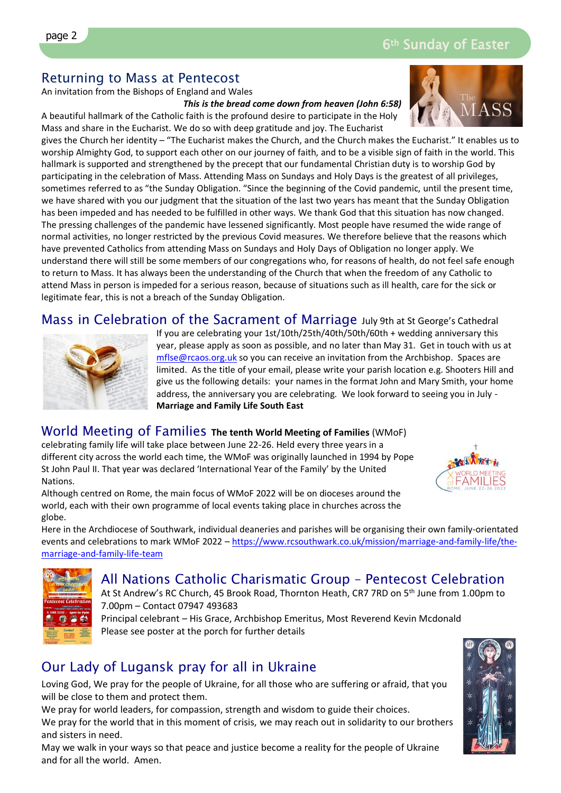ī

# Returning to Mass at Pentecost

An invitation from the Bishops of England and Wales

*This is the bread come down from heaven (John 6:58)*

A beautiful hallmark of the Catholic faith is the profound desire to participate in the Holy Mass and share in the Eucharist. We do so with deep gratitude and joy. The Eucharist gives the Church her identity – "The Eucharist makes the Church, and the Church makes the Eucharist." It enables us to worship Almighty God, to support each other on our journey of faith, and to be a visible sign of faith in the world. This hallmark is supported and strengthened by the precept that our fundamental Christian duty is to worship God by

participating in the celebration of Mass. Attending Mass on Sundays and Holy Days is the greatest of all privileges, sometimes referred to as "the Sunday Obligation. "Since the beginning of the Covid pandemic, until the present time, we have shared with you our judgment that the situation of the last two years has meant that the Sunday Obligation has been impeded and has needed to be fulfilled in other ways. We thank God that this situation has now changed. The pressing challenges of the pandemic have lessened significantly. Most people have resumed the wide range of normal activities, no longer restricted by the previous Covid measures. We therefore believe that the reasons which have prevented Catholics from attending Mass on Sundays and Holy Days of Obligation no longer apply. We understand there will still be some members of our congregations who, for reasons of health, do not feel safe enough to return to Mass. It has always been the understanding of the Church that when the freedom of any Catholic to attend Mass in person is impeded for a serious reason, because of situations such as ill health, care for the sick or legitimate fear, this is not a breach of the Sunday Obligation.

Mass in Celebration of the Sacrament of Marriage July 9th at St George's Cathedral



If you are celebrating your 1st/10th/25th/40th/50th/60th + wedding anniversary this year, please apply as soon as possible, and no later than May 31. Get in touch with us at [mflse@rcaos.org.uk](mailto:mflse@rcaos.org.uk) so you can receive an invitation from the Archbishop. Spaces are limited. As the title of your email, please write your parish location e.g. Shooters Hill and give us the following details: your names in the format John and Mary Smith, your home address, the anniversary you are celebrating. We look forward to seeing you in July - **Marriage and Family Life South East**

## World Meeting of Families **The tenth World Meeting of Families** (WMoF)

celebrating family life will take place between June 22-26. Held every three years in a different city across the world each time, the WMoF was originally launched in 1994 by Pope St John Paul II. That year was declared 'International Year of the Family' by the United Nations.



Although centred on Rome, the main focus of WMoF 2022 will be on dioceses around the world, each with their own programme of local events taking place in churches across the globe.

Here in the Archdiocese of Southwark, individual deaneries and parishes will be organising their own family-orientated events and celebrations to mark WMoF 2022 – [https://www.rcsouthwark.co.uk/mission/marriage-and-family-life/the](https://www.rcsouthwark.co.uk/mission/marriage-and-family-life/the-marriage-and-family-life-team)[marriage-and-family-life-team](https://www.rcsouthwark.co.uk/mission/marriage-and-family-life/the-marriage-and-family-life-team)



All Nations Catholic Charismatic Group – Pentecost Celebration At St Andrew's RC Church, 45 Brook Road, Thornton Heath, CR7 7RD on 5<sup>th</sup> June from 1.00pm to 7.00pm – Contact 07947 493683

Principal celebrant – His Grace, Archbishop Emeritus, Most Reverend Kevin Mcdonald Please see poster at the porch for further details

# Our Lady of Lugansk pray for all in Ukraine

Loving God, We pray for the people of Ukraine, for all those who are suffering or afraid, that you will be close to them and protect them.

We pray for world leaders, for compassion, strength and wisdom to guide their choices. We pray for the world that in this moment of crisis, we may reach out in solidarity to our brothers and sisters in need.

May we walk in your ways so that peace and justice become a reality for the people of Ukraine and for all the world. Amen.

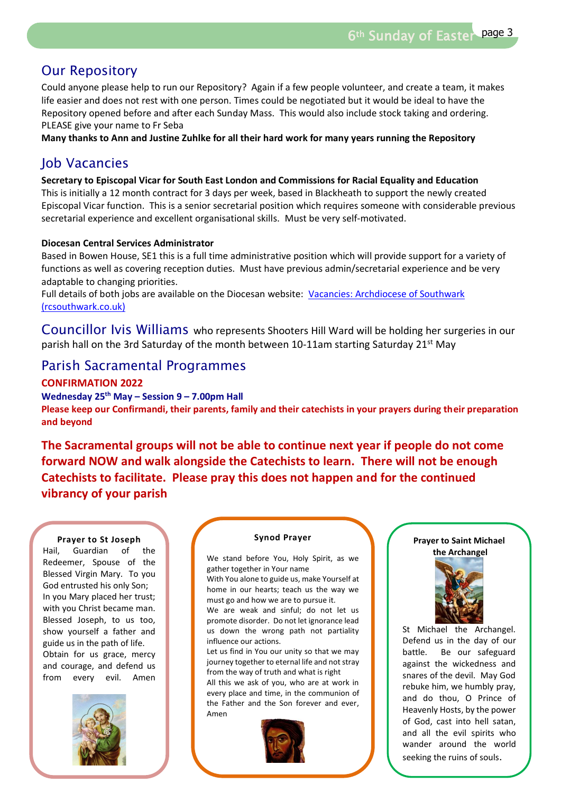## Our Repository

Could anyone please help to run our Repository? Again if a few people volunteer, and create a team, it makes life easier and does not rest with one person. Times could be negotiated but it would be ideal to have the Repository opened before and after each Sunday Mass. This would also include stock taking and ordering. PLEASE give your name to Fr Seba

**Many thanks to Ann and Justine Zuhlke for all their hard work for many years running the Repository**

# Job Vacancies

**Secretary to Episcopal Vicar for South East London and Commissions for Racial Equality and Education** This is initially a 12 month contract for 3 days per week, based in Blackheath to support the newly created Episcopal Vicar function. This is a senior secretarial position which requires someone with considerable previous secretarial experience and excellent organisational skills. Must be very self-motivated.

## **Diocesan Central Services Administrator**

Based in Bowen House, SE1 this is a full time administrative position which will provide support for a variety of functions as well as covering reception duties. Must have previous admin/secretarial experience and be very adaptable to changing priorities.

Full details of both jobs are available on the Diocesan website: [Vacancies: Archdiocese of Southwark](https://www.rcsouthwark.co.uk/get-involved/vacancies/)  [\(rcsouthwark.co.uk\)](https://www.rcsouthwark.co.uk/get-involved/vacancies/)

Councillor Ivis Williams who represents Shooters Hill Ward will be holding her surgeries in our parish hall on the 3rd Saturday of the month between 10-11am starting Saturday 21<sup>st</sup> May

## Parish Sacramental Programmes

**CONFIRMATION 2022**

**Wednesday 25th May – Session 9 – 7.00pm Hall** 

**Please keep our Confirmandi, their parents, family and their catechists in your prayers during their preparation and beyond**

**The Sacramental groups will not be able to continue next year if people do not come forward NOW and walk alongside the Catechists to learn. There will not be enough Catechists to facilitate. Please pray this does not happen and for the continued vibrancy of your parish** 

#### **Prayer to St Joseph**

Hail, Guardian of the Redeemer, Spouse of the Blessed Virgin Mary. To you God entrusted his only Son; In you Mary placed her trust; with you that y placed her trust,<br>with you Christ became man. Blessed Joseph, to us too, show yourself a father and guide us in the path of life. galue as in the path of life.<br>Obtain for us grace, mercy and courage, and defend us from every evil. Amen



#### **Synod Prayer**

We stand before You, Holy Spirit, as we gather together in Your name

With You alone to guide us, make Yourself at home in our hearts; teach us the way we must go and how we are to pursue it.

We are weak and sinful; do not let us promote disorder. Do not let ignorance lead us down the wrong path not partiality influence our actions.

Let us find in You our unity so that we may journey together to eternal life and not stray from the way of truth and what is right

All this we ask of you, who are at work in every place and time, in the communion of the Father and the Son forever and ever, Amen



## **Prayer to Saint Michael the Archangel**



St Michael the Archangel. Defend us in the day of our battle. Be our safeguard against the wickedness and snares of the devil. May God rebuke him, we humbly pray, and do thou, O Prince of Heavenly Hosts, by the power of God, cast into hell satan, and all the evil spirits who wander around the world seeking the ruins of souls.